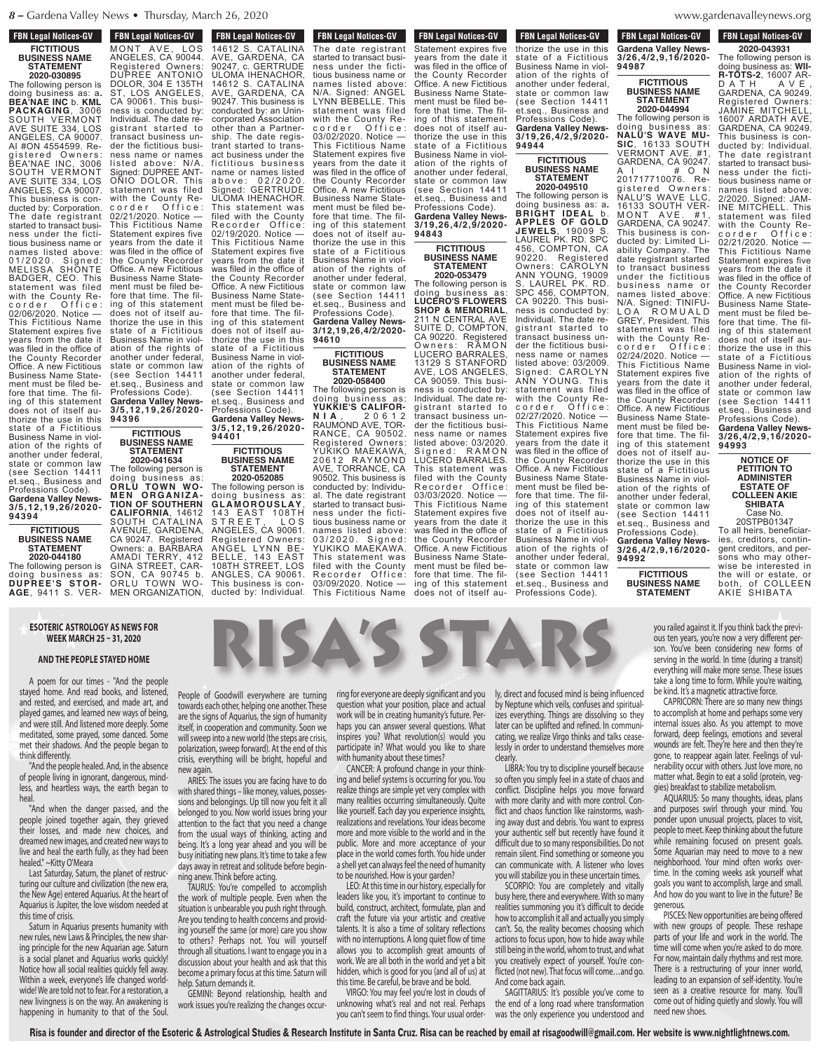**FBN Legal Notices-GV FICTITIOUS BUSINESS NAME STATEMENT**

**2020-030895**

The following person is doing business as: a**. BEA'NAE INC** b. **KML PACKAGING**, 3006 SOUTH VERMONT AVE SUITE 334, LOS ANGELES, CA 90007. AI #ON 4554599. Re-<br>gistered Owners: gistered Owners: BEA'NAE INC, 3006 SOUTH VERMONT AVE SUITE 334, LOS ANGELES, CA 90007. This business is conducted by: Corporation. The date registrant started to transact business under the fictitious business name or names listed above: 01/2020. Signed: MELISSA SHONTE BADGER, CEO. This statement was filed with the County Recorder Office: 02/06/2020. Notice — This Fictitious Name Statement expires five years from the date it was filed in the office of the County Recorder Office. A new Fictitious Business Name Statement must be filed before that time. The filing of this statement does not of itself authorize the use in this state of a Fictitious Business Name in violation of the rights of another under federal, state or common law (see Section 14411 et.seq., Business and Professions Code). **Gardena Valley News-**

**3/5,12,19,26/2020- 94394 FICTITIOUS**

**BUSINESS NAME STATEMENT 2020-044180**

The following person is doing business as: **DUPREE'S STOR-AGE**, 9411 S. VER-

 $M_{\rm H}$ 

#### **ESOTERIC ASTROLOGY AS NEWS FOR**<br>WEEK MARCH 25 - 31, 2020 AS NEWS FOR **Internace Section 1461 S. CATALINA IN STREET MARCH 25 - 31, 2020**  $\overline{\phantom{a}}$ **ESOTERIC ASTROLOG**

#### **AND THE PEOPLE STAYED HOME** conducted by:  $\mathbf{C}$ CA 90061. THE BEADLE ness is considered by:

A poem for our times - "And the people stayed home. And read books, and listened,  $p_{\text{nonlo}}$ and rested, and exercised, and made art, and the forwards and rested, and exercised, and made art, and towards<br>played games, and learned new ways of being, are the and were still. And listened more deeply. Some litself in meditated, some prayed, some danced. Some  $\frac{1}{\text{will }\text{cusp}}$ met their shadows. And the people began to  $\frac{W_{\text{H}}}{W_{\text{H}}}\frac{1}{2}$ think differently. lew ways of being, are the people began to polarizar gistrant started to A poem for our time and rested, and exercised played games, and learned met their shadows And  $t + \frac{1}{2}$  think differently

crisis, end the people healed. And, in the absence are resis, etc. of people living in ignorant, dangerous, mindless, and heartless ways, the earth began to  $\frac{1}{100}$ heal.  $\mathsf{head}$  is the date it is the date it is the date it is the date it is the date it is the date it is the date it is the date it is defined as  $\mathsf{head}$ 

sions are<br>"And when the danger passed, and the belongs" people joined together again, they grieved attentio their losses, and made new choices, and from th dreamed new images, and created new ways to  $\frac{1}{10}$ live and heal the earth fully, as they had been business in healed." ~Kitty O'Meara year.<br>"And when the danger passed, and the belonge as they had been busy in five and heal the earth ful $d$  inequed.  $\sim$ Nilly  $\cup$  Medid

days aw<br>Last Saturday, Saturn, the planet of restructuring our culture and civilization (the new era,  $\frac{1}{10}$ the New Age) entered Aquarius. At the heart of  $\frac{1}{10}$  $A$ quarius is Jupiter, the love wisdom needed at  $A$ <sub>situation</sub> this time of crisis. planet of restruc-  $\frac{1}{\pi}$  ning and thorize that is used to use the use  $\mu$ Aquarius is suprier, the low

Saturn in Aquarius presents humanity with the vour new rules, new Laws & Principles, the new shar- $\frac{10}{10}$  out the new Aquarian age. Saturn  $\frac{10}{10}$  out is a social planet and Aquarius works quickly! discussing Notice how all social realities quickly fell away. become Within a week, everyone's life changed world- **Andrally** Sa wide! We are told not to fear. For a restoration, a **94401** new livingness is on the way. An awakening is happening in humanity to that of the Soul.  $\frac{P}{P}$  Professional Contracts Code **Garden Value 13** d Social platier and Aqu

**FON LEGAL NUTTLES-CIV** 14612 S. CATALINA AVE, GARDENA, CA 90247, c. GERTRUDE ULOMA IHENACHOR 14612 S. CATALINA AVE, GARDENA, CA 90247. This business is conducted by: an Unincorporated Association other than a Partnership. The date registrant started to transact business under the fi c titious bus ines s name or names listed a b o v e : 0 2 / 2 0 2 0 . Signed: GERTRUDE ULOMA IHENACHOR. This statement was filed with the County Recorder Office: 02/19/2020. Notice — This Fictitious Name Statement expires five years from the date it was filed in the office of the County Recorder Office. A new Fictitious Business Name Statement must be filed before that time. The filing of this statement does not of itself authorize the use in this state of a Fictitious Business Name in violation of the rights of another under federal, state or common law state of common fair et.seq., Business and Professions Code). **Gardena Valley News-FBN Legal Notices-GV FON LEGAL NULLES-GV** MONT AVE, LOS ANGELES, CA 90044. Registered Owners: DUPREE ANTONIO DOLOR, 304 E 135TH ST, LOS ANGELES, CA 90061. This business is conducted by: Individual. The date registrant started to transact business under the fictitious business name or names listed above: N/A. Signed: DUPREE ANT-ONIO DOLOR. This statement was filed with the County Recorder Office: 02/21/2020. Notice This Fictitious Name Statement expires five years from the date it was filed in the office of the County Recorder Office. A new Fictitious Business Name Statement must be filed before that time. The filing of this statement does not of itself authorize the use in this state of a Fictitious Business Name in violation of the rights of another under federal, state or common law (see Section 14411 et.seq., Business and Professions Code). **Gardena Valley News-3/5,12,19,26/2020-**

**FICTITIOUS BUSINESS NAME STATEMENT 2020-041634** The following person is

**94396**

The following person is doing business as: **GLA M OROUSLAY**, 143 EAST 108TH S T R E E T , L O S ANGELES, CA 90061. Registered Owners: ANGEL LYNN BE-BELLE, 143 EAST 108TH STREET, LOS ANGLES, CA 90061. This business is conducted by: Individual. The date registrant doing business as: **ORLU TOWN WO-M E N O R G A N I Z A - TION OF SOUTHERN CALIFORNIA**, 14612 SOUTH CATALINA AVENUE, GARDENA, CA 90247. Registered Owners: a. BARBARA AMADI TERRY, 412 GINA STREET, CAR-SON, CA 90745 b. ORLU TOWN WO-MEN ORGANIZATION, 14612 S. CATALINA

**FBN Legal Notices-GV DUCTED** EVALUATION The date registrant started to transact business under the fictitious business name or names listed above: N/A. Signed: ANGEL LYNN BEBELLE. This statement was filed with the County Recorder Office: 03/02/2020. Notice — This Fictitious Name Statement expires five years from the date it was filed in the office of the County Recorder Office. A new Fictitious Business Name Statement must be filed before that time. The filing of this statement does not of itself authorize the use in this state of a Fictitious Business Name in violation of the rights of another under federal, state or common law (see Section 14411 et.seq., Business and Professions Code). Gardena Valley Ne **3/12,19,26,4/2/2020- 94610 FBN Legal Notices-GV** 

### **FICTITIOUS BUSINESS NAME STATEMENT 2020-058400**

The following person is doing business as: **YUKKIE'S CALIFOR-N I A** , 2 0 6 1 2 RAUMOND AVE, TOR-RANCE, CA 90502. Registered Owners: YUKIKO MAEKAWA, 20612 RAYMOND AVE, TORRANCE, CA 90502. This business is conducted by: Individual. The date registrant started to transact business under the fictitious business name or names listed above: 03/2020. Signed: YUKIKO MAEKAWA. This statement was filed with the County<br>Recorder Office: Recorder Office: 03/09/2020. Notice — This Fictitious Name

Statement expires five

**FBN Legal Notices-GV This Figure Islams** Statement expires five years from the date it was filed in the office of the County Recorder Office. A new Fictitious Business Name Statement must be filed before that time. The filing of this statement does not of itself authorize the use in this state of a Fictitious Business Name in violation of the rights of another under federal, state or common law (see Section 14411

et.seq., Business and Professions Code). **Gardena Valley News-3/19,26,4/2,9/2020-**

**FICTITIOUS BUSINESS NAME STATEMENT 2020-053479**

**94843**

The following person is doing business as: **LUCERO'S FLOWERS SHOP & MEMORIAL**, 211 N CENTRAL AVE SUITE D, COMPTON, CA 90220. Registered Owners: RAMON LUCERO BARRALES, 13129 S STANFORD AVE, LOS ANGELES, CA 90059. This business is conducted by: Individual. The date registrant started to transact business under the fictitious business name or names listed above: 03/2020. Signed: RAMON LUCERO BARRALES. This statement was filed with the County Recorder Office: 03/03/2020. Notice — This Fictitious Name Statement expires five years from the date it was filed in the office of the County Recorder Office. A new Fictitious Business Name Statement must be filed before that time. The filing of this statement does not of itself au-

**FBN Legal Notices-GV TEN LEGAL NOTICES-CIV** thorize the use in this state of a Fictitious Business Name in violation of the rights of another under federal, state or common law state Streetham et.seq., Business and Professions Code). **Gardena Valley News-3/19,26,4/2,9/2020- 94944**

### **FICTITIOUS BUSINESS NAME STATEMENT 2020-049510**

doing business as: a**. BRIGHT IDEAL** b. **APPLES OF GOLD JEWELS**, 19009 S. LAUREL PK. RD. SPC 456, COMPTON, CA 90220. Registered Owners: CAROLYN ANN YOUNG, 19009 S. LAUREL PK. RD. SPC 456, COMPTON, CA 90220. This business is conducted by: Individual. The date registrant started to transact business under the fictitious business name or names listed above: 03/2009. Signed: CAROLYN ANN YOUNG. This statement was filed with the County Recorder Office: 02/27/2020. Notice — This Fictitious Name Statement expires five years from the date it was filed in the office of the County Recorder Office. A new Fictitious Business Name Statement must be filed before that time. The filing of this statement does not of itself authorize the use in this state of a Fictitious Business Name in violation of the rights of another under federal, state or common law (see Section 14411 et.seq., Business and Professions Code).

www.gardenavalleynew  $\ldots \ldots$ <sub>5</sub>.

**FBN Legal Notices-GV BUSINESS NAME Legal Notices-2020-043931**

D A T H A V E , GARDENA, CA 90249. Registered Owners: JAMINE MITCHELL, 16007 ARDATH GARDENA, CA 90249. This business is conducted by: Individual. The date registrant started to transact business under the fictitious business name or names listed above: 2/2020. Signed: JAM-INE MITCHELL. This statement was filed with the County Recorder Office: 02/21/2020. Notice — This Fictitious Name Statement expires five years from the date it was filed in the office of the County Recorder Office. A new Fictitious Business Name Statement must be filed before that time. The filing of this statement does not of itself authorize the use in this state of a Fictitious Business Name in violation of the rights of another under federal, state or common law (see Section 14411 et.seq., Business and Professions Code). **Gardena Valley News-3/26,4/2,9,16/2020-**

The following person is doing business as: **WII-R-TOTS-2**, 16007 AR-**Profession**<br> **Profession Gardena Valley News-3/26,4/2,9,16/2020- 94987**

**FBN Legal Notices-GV** 

### **FICTITIOUS BUSINESS NAME STATEMENT 2020-044994**

The following person is doing business as: **NALU'S WAVE MU-SIC**, 16133 SOUTH VERMONT AVE. #1, GARDENA, CA 90247. A I # O N 201717710076. Registered Owners: NALU'S WAVE LLC, 16133 SOUTH VER-MONT AVE. #1, GARDENA, CA 90247. This business is conducted by: Limited Liability Company. The date registrant started to transact business under the fictitious business name or names listed above: N/A. Signed: TINIFU-L O A R O M U A L D N/A. Signed.<br>LOA ROMUALD<br>GREY, President. This statement was filed with the County Recorder Office: 02/24/2020. Notice This Fictitious Name Statement expires five years from the date it was filed in the office of the County Recorder Office. A new Fictitious Business Name Statement must be filed before that time. The filing of this statement does not of itself authorize the use in this state of a Fictitious Business Name in violation of the rights of another under federal, state or common law (see Section 14411 et.seq., Business and Professions Code). **Gardena Valley News-**The following person is

**3/26,4/2,9,16/2020- 94992 FICTITIOUS BUSINESS NAME**

**STATEMENT**

ies, creditors, contingent creditors, and persons who may otherwise be interested in the will or estate, or both, of COLLEEN AKIE SHIBATA A PETITION FOR

**94993**

**NOTICE OF PETITION TO ADMINISTER ESTATE OF COLLEEN AKIE SHIBATA** Case No. 20STPB01347 To all heirs, beneficiar-

People of Goodwill everywhere are turning towards each other, helping one another. These are the signs of Aquarius, the sign of humanity LYNN BEBELLE. This statement was filed  $m \times m \times m$ Goodwill everywhere are

itself, in cooperation and community. Soon we the metal community. See the constant of the steps are crisis, polarization, sweep forward). At the end of this crisis, everything will be bright, hopeful and new again. ARIES: The issues you are facing have to do  $\sum_{n=1}^{\infty}$  of  $\sum_{n=1}^{\infty}$   $\sum_{n=1}^{\infty}$   $\sum_{n=1}^{\infty}$   $\sum_{n=1}^{\infty}$   $\sum_{n=1}^{\infty}$ fore that time. The fil-

**3/5,12,19,26/2020-**

**FICTITIOUS BUSINESS NAME STATEMENT 2020-052085**

**94401**

with shared things – like money, values, possessions and belongings. Up till now you felt it all belonged to you. Now world issues bring your attention to the fact that you need a change from the usual ways of thinking, acting and hom the asaal ways of thinking, acting and<br>being. It's a long year ahead and you will be busy initiating new plans. It's time to take a few days away in retreat and solitude before beginhing anew. Think before acting.  $\mathcal{I}$  with shared things – like money, values,  $\mathcal{I}$ a lung year aneau anu you

TAURUS: You're compelled to accomplish **3/12,19,26,4/2/2020** the work of multiple people. Even when the wisdom needed at listuation is unbearable you push right through.  $\mathbf{A}$ re you tending to health concerns and providing yourself the same (or more) care you show to others? Perhaps not. You will yourself through all situations. I want to engage you in a discussion about your health and ask that this become a primary focus at this time. Saturn will help. Saturn demands it. **9. 10015** 

GEMINI: Beyond relationship, health and work issues you're realizing the changes occur-

n we haps you can answer several questions. What risis, inspires you? What revolution(s) would you  $\frac{1}{10}$  is the participate in? What would you like to share and with humanity about these times? this participate in writing

**CANCER:** A profound change in your thinking and belief systems is occurring for you. You **3/19,26,4/2,9/2020** realize things are simple yet very complex with many realities occurring simultaneously. Quite like yourself. Each day you experience insights, realizations and revelations. Your ideas become more and more visible to the world and in the public. More and more acceptance of your place in the world comes forth. You hide under a shell yet can always feel the need of humanity to be nourished. How is your garden?

LEO: At this time in our history, especially for leaders like you, it's important to continue to build, construct, architect, formulate, plan and craft the future via your artistic and creative talents. It is also a time of solitary reflections with no interruptions. A long quiet flow of time allows you to accomplish great amounts of work. We are all both in the world and yet a bit hidden, which is good for you (and all of us) at this time. Be careful, be brave and be bold.

VIRGO: You may feel you're lost in clouds of unknowing what's real and not real. Perhaps you can't seem to find things. Your usual orderly, direct and focused mind is being influenced by Neptune which veils, confuses and spiritualizes everything. Things are dissolving so they later can be uplifted and refined. In communicating, we realize Virgo thinks and talks ceaselessly in order to understand themselves more clearly.

**Gardena Valley News-**

LIBRA: You try to discipline yourself because so often you simply feel in a state of chaos and conflict. Discipline helps you move forward with more clarity and with more control. Conflict and chaos function like rainstorms, washing away dust and debris. You want to express your authentic self but recently have found it difficult due to so many responsibilities. Do not remain silent. Find something or someone you can communicate with. A listener who loves you will stabilize you in these uncertain times.

SCORPIO: You are completely and vitally busy here, there and everywhere. With so many realities summoning you it's difficult to decide how to accomplish it all and actually you simply can't. So, the reality becomes choosing which actions to focus upon, how to hide away while still being in the world, whom to trust, and what you creatively expect of yourself. You're con- From How, HidiHidiHi flicted (not new). That focus will come…and go. And come back again.

SAGITTARIUS: It's possible you've come to<br>Land of a lang road where transformation the end of a long road where transformation was the only experience you understood and

you railed against it. If you think back the previous ten years, you're now a very different person. You've been considering new forms of serving in the world. In time (during a transit) serving in the world. In time (during a transit)<br>everything will make more sense. These issues take a long time to form. While you're waiting,  $f_{\text{H} \text{per}}$  be kind. It's a magnetic attractive force. you railed against it. If you think back the previ-Serving in the world. In three (during a transit)<br>everything will make more sense. These issues **R-TOTS-2000** you railed against everything will m

mericed by and the analysis of the contract of the contract of the contract of the contract of the contract of the contract of the contract of the contract of the contract of the contract of the contract of the contract of **EXEMINIST THE REPTITE AND THE EXEMPLE SO THAILY THEW GIFTS** <sub>i</sub>mmuni- internal issues also. As you attempt to move <sub>s cease</sub> forward, deep feelings, emotions and several  $\frac{1}{x}$  wounds are felt. They're here and then they're mounts are rear may be nece and then analy re-<br>gone, to reappear again later. Feelings of vulbecause nerability occur with others. Just love more, no <sub>laos and</sub> hatter what. Begin to eat a solid (protein, vegforward gies) breakfast to stabilize metabolism. spiritual to accomplish at home and perhaps s Fraction of the Community of Essays and Separate Science of the Second Administration of the Second Separate Secondition of the Secondition of the Secondition of the Secondition of the Secondition of the Secondition of the so they to accomplish at i INE MOTEL TO TEAPPEA

 $\frac{1}{2}$  AQUARIUS: So many thoughts, ideas, plans  $\frac{1}{101}$ , Collegen and purposes swirl through your mind. You and purposes swin unough your minu. Tou<br>ponder upon unusual projects, places to visit,  $f_{\text{ound}}$  it people to meet. Keep thinking about the future  $\frac{1}{2}$  D<sub>O</sub> not while remaining focused on present goals.  $\frac{1}{2}$  Some Aquarian may need to move to a new bome Aquanan may need to move to a new **times.** time. In the coming weeks ask yourself what d vitally goals you want to accomplish, large and small. And how do you want to live in the future? Be so many the compact year. is, wash-<br>express bonder upon unusual projects, places to visit, one you some Additional may need to move to a new If I can be a many and how do you want to live in the future? Be express ponder upon unt ho loves rieignborriood. It

terous.<br>PISCES: New opportunities are being offered <sub>ig Which</sub> with new groups of people. These reshape ay while parts of your life and work in the world. The  $\frac{dy}{dt}$  what time will come when you're asked to do more. rild what the component when you're doned to do more.<br>I're con-<br>for now, maintain daily rhythms and rest more. There is a restructuring of your inner world, **Armore Starting in the expansion of self-identity. You're leading to an expansion of self-identity. You're** come to seen as a creative resource for many. You'll come out of hiding quietly and slowly. You will need new shoes. o decide yenerous.<br>u simply PISCES: New opportunities are being offered and go. There is a restructuring or your  $\frac{1}{2}$  and significant  $\frac{1}{2}$ u simply PISCES: New O

ersearch on the Esoteric & Astrological Studies & Research Institute in Santa Cruz. Risa can be reached by email at risagoodwill@gmail.com. Her website is www.nightlightnews.com.<br>Risa is founder and director of the Esoteri ightlightr



thorize the use in this

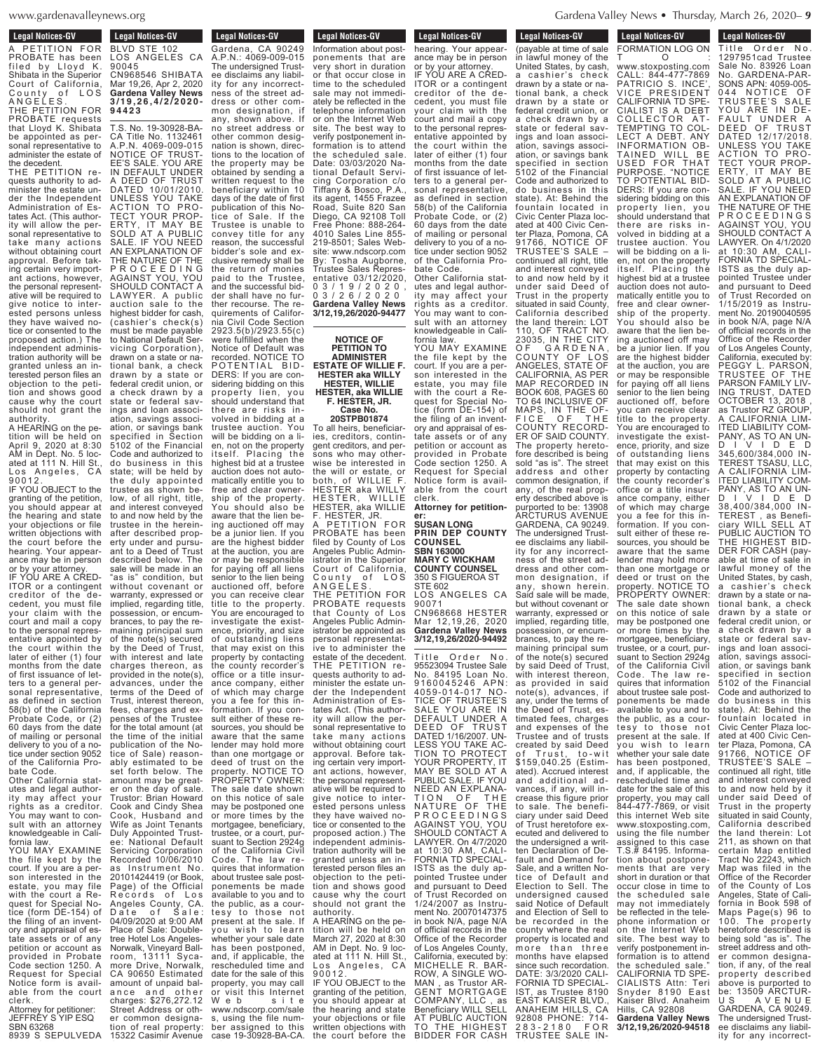$PWS. OTP$ www.gardenavalley  $t_{\text{m}}$   $\ldots$   $\ldots$   $\ldots$   $\ldots$   $\ldots$   $\ldots$   $\ldots$   $\ldots$   $\ldots$   $\ldots$   $\ldots$   $\ldots$   $\ldots$   $\ldots$   $\ldots$   $\ldots$   $\ldots$   $\ldots$   $\ldots$   $\ldots$   $\ldots$   $\ldots$   $\ldots$   $\ldots$   $\ldots$   $\ldots$   $\ldots$   $\ldots$   $\ldots$   $\ldots$   $\ldots$   $\ldots$   $\ldots$   $\ldots$   $\ldots$ 

**Legal Notices-GV** Leyal NULLES-UV A PETITION FOR PROBATE has been filed by Lloyd K. Shibata in the Superior Court of California, County of LOS A N G E L E S . THE PETITION FOR PROBATE requests that Lloyd K. Shibata be appointed as personal representative to administer the estate of

the decedent. THE PETITION requests authority to administer the estate under the Independent Administration of Estates Act. (This authority will allow the personal representative to take many actions without obtaining court approval. Before taking certain very important actions, however, the personal representative will be required to give notice to interested persons unless they have waived notice or consented to the proposed action.) The independent administration authority will be granted unless an interested person files an objection to the petition and shows good cause why the court should not grant the authority.

A HEARING on the petition will be held on April 9, 2020 at 8:30 AM in Dept. No. 5 located at 111 N. Hill St., Los Angeles, CA 9 0 0 1 2 . IF YOU OBJECT to the

granting of the petition, you should appear at the hearing and state your objections or file written objections with the court before the hearing. Your appearance may be in person

or by your attorney. IF YOU ARE A CRED-ITOR or a contingent creditor of the decedent, you must file your claim with the court and mail a copy to the personal representative appointed by the court within the later of either (1) four months from the date of first issuance of letters to a general personal representative, as defined in section 58(b) of the California Probate Code, or (2) 60 days from the date of mailing or personal delivery to you of a notice under section 9052 of the California Pro-

bate Code. Other California statutes and legal authority may affect your rights as a creditor. You may want to consult with an attorney knowledgeable in California law.

YOU MAY EXAMINE the file kept by the court. If you are a person interested in the estate, you may file with the court a Request for Special Notice (form DE-154) of the filing of an inventory and appraisal of estate assets or of any petition or account as provided in Probate Code section 1250. A Request for Special Notice form is available from the court clerk. Attorney for petitioner:

8939 S SEPULVEDA 15322 Casimir Avenue JEFFREY S YIP ESQ SBN 63268

tion of real property:

ee disclaims any liability for any incorrectness of the street ad-**Legal Notices-GV**  $\mathcal{S}^{\text{Hilb}}$ **Edgar Nutrices-GV** BLVD STE 102 LOS ANGELES CA 90045 CN968546 SHIBATA Mar 19,26, Apr 2, 2020 **Gardena Valley News 3 / 1 9 , 2 6 , 4 / 2 / 2 0 2 0 - 9 4 4 2 3**

Legal Nutries-GV Gardena, CA 90249 A.P.N.: 4069-009-015 The undersigned Trust-

dress or other common designation, if any, shown above. If no street address or other common designation is shown, directions to the location of the property may be obtained by sending a written request to the beneficiary within 10 days of the date of first publication of this Notice of Sale. If the Trustee is unable to convey title for any reason, the successful bidder's sole and exclusive remedy shall be the return of monies paid to the Trustee, and the successful bidder shall have no further recourse. The requirements of California Civil Code Section 2923.5(b)/2923.55(c) were fulfilled when the Notice of Default was recorded. NOTICE TO POTENTIAL BID-DERS: If you are considering bidding on this property lien, you should understand that there are risks involved in bidding at a trustee auction. You will be bidding on a lien, not on the property itself. Placing the highest bid at a trustee auction does not automatically entitle you to free and clear ownership of the property. You should also be aware that the lien being auctioned off may be a junior lien. If you are the highest bidder at the auction, you are or may be responsible for paying off all liens senior to the lien being auctioned off, before you can receive clear title to the property. You are encouraged to investigate the existence, priority, and size of outstanding liens that may exist on this property by contacting the county recorder's office or a title insurance company, either of which may charge you a fee for this information. If you consult either of these resources, you should be aware that the same lender may hold more than one mortgage or deed of trust on the property. NOTICE TO PROPERTY OWNER: The sale date shown on this notice of sale may be postponed one or more times by the mortgagee, beneficiary, trustee, or a court, pursuant to Section 2924g of the California Civil Code. The law requires that information about trustee sale postponements be made available to you and to the public, as a courtesy to those not present at the sale. If .<br>you wish to learn whether your sale date has been postponed, and, if applicable, the rescheduled time and date for the sale of this property, you may call or visit this Internet Web site www.ndscorp.com/sale ber assigned to this<br>case 19-30928-BA-CA. T.S. No. 19-30928-BA-CA Title No. 1132461 A.P.N. 4069-009-015 NOTICE OF TRUST-EE'S SALE. YOU ARE IN DEFAULT UNDER A DEED OF TRUST DATED 10/01/2010. UNLESS YOU TAKE ACTION TO PRO-TECT YOUR PROP-ERTY, IT MAY BE SOLD AT A PUBLIC SALE. IF YOU NEED AN EXPLANATION OF THE NATURE OF THE P R O C E E D I N G AGAINST YOU, YOU SHOULD CONTACT A LAWYER. A public auction sale to the highest bidder for cash, (cashier's check(s) must be made payable to National Default Servicing Corporation), drawn on a state or national bank, a check drawn by a state or federal credit union, or a check drawn by a state or federal savings and loan association, savings association, or savings bank specified in Section 5102 of the Financial Code and authorized to do business in this state; will be held by the duly appointed trustee as shown below, of all right, title, and interest conveyed to and now held by the trustee in the hereinafter described property under and pursuant to a Deed of Trust described below. The sale will be made in an "as is" condition, but without covenant or warranty, expressed or implied, regarding title, possession, or encumbrances, to pay the remaining principal sum of the note(s) secured by the Deed of Trust, with interest and late charges thereon, as provided in the note(s), advances, under the terms of the Deed of Trust, interest thereon, fees, charges and expenses of the Trustee for the total amount (at the time of the initial publication of the Notice of Sale) reasonably estimated to be set forth below. The amount may be greater on the day of sale. Trustor: Brian Howard Cook and Cindy Shea Cook, Husband and Wife as Joint Tenants Duly Appointed Trustee: National Default Servicing Corporation Recorded 10/06/2010 Instrument No. 20101424419 (or Book, Page) of the Official Records of Los Angeles County, CA. Date of Sale: 04/09/2020 at 9:00 AM Place of Sale: Doubletree Hotel Los Angeles-Norwalk, Vineyard Ball-<br>room, 13111 Sycaroom, 13111 Sycamore Drive, Norwalk, CA <sup>90650</sup> Estimated amount of unpaid balance and other charges: \$276,272.12 Street Address or other common designa-

**Legal Notices-GV** cegal Nutres-GV Information about postponements that are very short in duration or that occur close in time to the scheduled sale may not immediately be reflected in the telephone information or on the Internet Web site. The best way to verify postponement information is to attend the scheduled sale. Date: 03/03/2020 National Default Servicing Corporation c/o Tiffany & Bosco, P.A., its agent, 1455 Frazee Road, Suite 820 San Diego, CA 92108 Toll Free Phone: 888-264- 4010 Sales Line 855- 219-8501; Sales Website: www.ndscorp.com By: Tosha Augborne, Trustee Sales Representative 03/12/2020, 0 3 / 1 9 / 2 0 2 0 , 0 3 / 2 6 / 2 0 2 0 **Gardena Valley News 3/12,19,26/2020-94477 Legal Notices-GV** 

> **NOTICE OF PETITION TO ADMINISTER ESTATE OF WILLIE F. HESTER aka WILLY HESTER, WILLIE HESTER, aka WILLIE F. HESTER, JR.**

### **Case No. 20STPB01874**

To all heirs, beneficiaries, creditors, contingent creditors, and persons who may otherwise be interested in the will or estate, or both, of WILLIE F. HESTER aka WILLY HESTER, WILLIE HESTER, aka WILLIE F. HESTER, JR. PETITION FOR PROBATE has been filed by County of Los

Angeles Public Administrator in the Superior Court of California, County of LOS A N G E L E S . THE PETITION FOR PROBATE requests that County of Los Angeles Public Administrator be appointed as personal representative to administer the estate of the decedent. THE PETITION requests authority to administer the estate under the Independent Administration of Estates Act. (This authority will allow the personal representative to take many actions without obtaining court approval. Before taking certain very important actions, however, the personal representative will be required to give notice to interested persons unless they have waived notice or consented to the proposed action.) The independent administration authority will be granted unless an interested person files an objection to the petition and shows good cause why the court should not grant the authority. A HEARING on the pe-

tition will be held on March 27, 2020 at 8:30 AM in Dept. No. 9 located at 111 N. Hill St., Los Angeles, CA 9 0 0 1 2 . IF YOU OBJECT to the

granting of the petition, you should appear at the hearing and state your objections or file written objections with the court before the

**Legal Notices-GV** Legal Nutries-GV hearing. Your appearance may be in person or by your attorney. IF YOU ARE A CRED-

a cashier's check

TRUSTEE'S SALE –

under said Deed

ITOR or a contingent creditor of the decedent, you must file your claim with the court and mail a copy to the personal representative appointed by the court within the later of either (1) four months from the date of first issuance of letters to a general personal representative, as defined in section 58(b) of the California Probate Code, or (2) 60 days from the date of mailing or personal delivery to you of a notice under section 9052 of the California Probate Code.

Other California statutes and legal authority may affect your rights as a creditor. You may want to consult with an attorney knowledgeable in Cali-

fornia law. YOU MAY EXAMINE the file kept by the court. If you are a person interested in the estate, you may file with the court a Request for Special Notice (form DE-154) of the filing of an inventory and appraisal of estate assets or of any petition or account as provided in Probate Code section 1250. A Request for Special Notice form is available from the court clerk.

**Attorney for petitioner: SUSAN LONG**

**PRIN DEP COUNTY COUNSEL SBN 163000 MARY C WICKHAM COUNTY COUNSEL** 350 S FIGUEROA ST STE 602 LOS ANGELES CA

90071 CN968668 HESTER Mar 12,19,26, 2020 **Gardena Valley News 3/12,19,26/2020-94492**

with interest thereon as provided in said the Deed of Trust, esvances, if any, will inof Trust heretofore ex-Sale, and a written No-2 8 3 - 2 1 8 0 F O R TRUSTEE SALE IN-Title Order No. 95523094 Trustee Sale No. 84195 Loan No. 9 1 6 0 0 4 5 2 4 6 AP N : 4059-014-017 NO-TICE OF TRUSTEE'S SALE YOU ARE IN DEFAULT UNDER A DEED OF TRUST DATED 1/16/2007. UN-LESS YOU TAKE AC-TION TO PROTECT YOUR PROPERTY, IT MAY BE SOLD AT A PUBLIC SALE. IF YOU NEED AN EXPLANA-TION OF THE NATURE OF THE P R O C E E D I N G S AGAINST YOU, YOU SHOULD CONTACT A LAWYER. On 4/7/2020 at 10:30 AM, CALI-FORNIA TD SPECIAL-ISTS as the duly appointed Trustee under and pursuant to Deed of Trust Recorded on 1/24/2007 as Instru-ment No. 20070147375 in book N/A, page N/A of official records in the Office of the Recorder of Los Angeles County, California, executed by: MICHELLE R. BAR-ROW, A SINGLE WO-MAN , as Trustor AR-GENT MORTGAGE COMPANY, LLC , as Beneficiary WILL SELL AT PUBLIC AUCTION TO THE HIGHEST BIDDER FOR CASH

(payable at time of sale

FORMATION LOG ON

**Legal Notices-GV** Title Order No. **Legal Notices-GV** 2 8 3 - 2 1 8 0 F O R Legal Nutles-GV FORMATION LOG ON<br>T 0 T O : www.stoxposting.com **Legal Notices-GV** Legal Nutles-GV (payable at time of sale in lawful money of the United States, by cash,

CALL: 844-477-7869 PATRICIO S. INCE', VICE PRESIDENT CALIFORNIA TD SPE-CIALIST IS A DEBT COLLECTOR AT-COLLECTOR AT-<br>TEMPTING TO COL-LECT A DEBT. ANY INFORMATION OB-TAINED WILL BE USED FOR THAT PURPOSE. "NOTICE TO POTENTIAL BID-DERS: If you are considering bidding on this property lien, you should understand that there are risks involved in bidding at a trustee auction. You will be bidding on a lien, not on the property itself. Placing the highest bid at a trustee auction does not automatically entitle you to free and clear ownership of the property. You should also be aware that the lien being auctioned off may be a junior lien. If you are the highest bidder at the auction, you are or may be responsible for paying off all liens senior to the lien being auctioned off, before you can receive clear title to the property. You are encouraged to investigate the existence, priority, and size of outstanding liens that may exist on this property by contacting the county recorder's office or a title insurance company, either of which may charge you a fee for this information. If you consult either of these resources, you should be aware that the same lender may hold more than one mortgage or deed or trust on the property. NOTICE TO PROPERTY OWNER: The sale date shown on this notice of sale may be postponed one or more times by the mortgagee, beneficiary, trustee, or a court, pursuant to Section 2924g of the California Civil Code. The law requires that information about trustee sale postponements be made available to you and to the public, as a courtesy to those not present at the sale. If you wish to learn whether your sale date has been postponed, and, if applicable, the rescheduled time and date for the sale of this property, you may call 844-477-7869, or visit this internet Web site www.stoxposting.com, using the file number assigned to this case T.S.# 84195. Information about postponements that are very short in duration or that occur close in time to the scheduled sale may not immediately be reflected in the telephone information or on the Internet Web site. The best way to verify postponement information is to attend<br>the eshadular eals." the scheduled sale." CALIFORNIA TD SPE-CIALISTS Attn: Teri Snyder 8190 East Kaiser Blvd. Anaheim Hills, CA 92808 **Gardena Valley News 3/12,19,26/2020-94518** drawn by a state or national bank, a check drawn by a state or federal credit union, or a check drawn by a state or federal savings and loan association, savings association, or savings bank specified in section 5102 of the Financial Code and authorized to do business in this state). At: Behind the fountain located in Civic Center Plaza located at 400 Civic Center Plaza, Pomona, CA 91766, NOTICE OF continued all right, title and interest conveyed to and now held by it Trust in the property situated in said County, California described the land therein: LOT 110, OF TRACT NO. 23035, IN THE CITY OF GARDENA, COUNTY OF LOS ANGELES, STATE OF CALIFORNIA, AS PER MAP RECORDED IN BOOK 608, PAGES 60 TO 64 INCLUSIVE OF MAPS, IN THE OF-FICE OF THE COUNTY RECORD-ER OF SAID COUNTY. The property heretofore described is being sold "as is". The street address and other common designation, if any, of the real property described above is purported to be: 13908 ARCTURUS AVENUE GARDENA, CA 90249. The undersigned Trustee disclaims any liability for any incorrectness of the street address and other common designation, if any, shown herein. Said sale will be made, but without covenant or warranty, expressed or implied, regarding title, possession, or encumbrances, to pay the remaining principal sum of the note(s) secured by said Deed of Trust, note(s), advances, if any, under the terms of timated fees, charges and expenses of the Trustee and of trusts created by said Deed of Trust, to-wit \$159,040.25 (Estimated). Accrued interest and additional adcrease this figure prior to sale. The beneficiary under said Deed ecuted and delivered to the undersigned a written Declaration of Default and Demand for tice of Default and Election to Sell. The undersigned caused said Notice of Default and Election of Sell to be recorded in the county where the real property is located and more than three months have elapsed since such recordation. DATE: 3/3/2020 CALI-FORNIA TD SPECIAL-IST, as Trustee 8190 EAST KAISER BLVD., ANAHEIM HILLS, CA 92808 PHONE: 714-

1297951cad Trustee Sale No. 83926 Loan No. GARDENA-PAR-SONS APN: 4059-005-<br>044 NOTICE OF 044 NOTICE OF TRUSTEE'S SALE YOU ARE IN DE-FAULT UNDER A DEED OF TRUST DATED 12/17/2018. UNLESS YOU TAKE ACTION TO PRO-TECT YOUR PROP-ERTY, IT MAY BE SOLD AT A PUBLIC SALE. IF YOU NEED AN EXPLANATION OF THE NATURE OF THE P R O C E E D I N G S AGAINST YOU, YOU SHOULD CONTACT A LAWYER. On 4/1/2020 at 10:30 AM, CALI-FORNIA TD SPECIAL-ISTS as the duly appointed Trustee under and pursuant to Deed of Trust Recorded on 1/15/2019 as Instrument No. 20190040595 in book N/A, page N/A of official records in the Office of the Recorder of Los Angeles County, California, executed by: PEGGY L. PARSON, TRUSTEE OF THE TRUSTEE OF THE PARSON FAMILY LIV-ING TRUST, DATED OCTOBER 13, 2018 , as Trustor RZ GROUP A CALIFORNIA LIM-**ITED LIABILITY** PANY, AS TO AN UN-D I V I D E D 345,600/384,000 IN-TEREST TSASU, LLC, A CALIFORNIA LIM-ITED LIABILITY COM-PANY, AS TO AN UN-D I V I D E D 38,400/384,000 IN-TEREST , as Beneficiary WILL SELL AT PUBLIC AUCTION TO THE HIGHEST BID-DER FOR CASH (payable at time of sale in lawful money of the United States, by cash, a cashier's check drawn by a state or national bank, a check drawn by a state or federal credit union, or a check drawn by a state or federal savings and loan association, savings association, or savings bank specified in section 5102 of the Financial Code and authorized to do business in this state). At: Behind the fountain located in Civic Center Plaza located at 400 Civic Center Plaza, Pomona, CA 91766, NOTICE OF TRUSTEE'S SALE – continued all right, title and interest conveyed to and now held by it under said Deed of Trust in the property situated in said County, California described the land therein: Lot 211, as shown on that certain Map entitled Tract No 22243, which Map was filed in the Office of the Recorder of the County of Los Angeles, State of California in Book 598 of Maps Page(s) 96 to<br>100. The property 100. The property heretofore described is being sold "as is". The street address and other common designation, if any, of the real property described above is purported to be: 13509 ARCTUR-U S A V E N U E<br>GARDENA, CA 90249. The undersigned Trustee disclaims any liability for any incorrect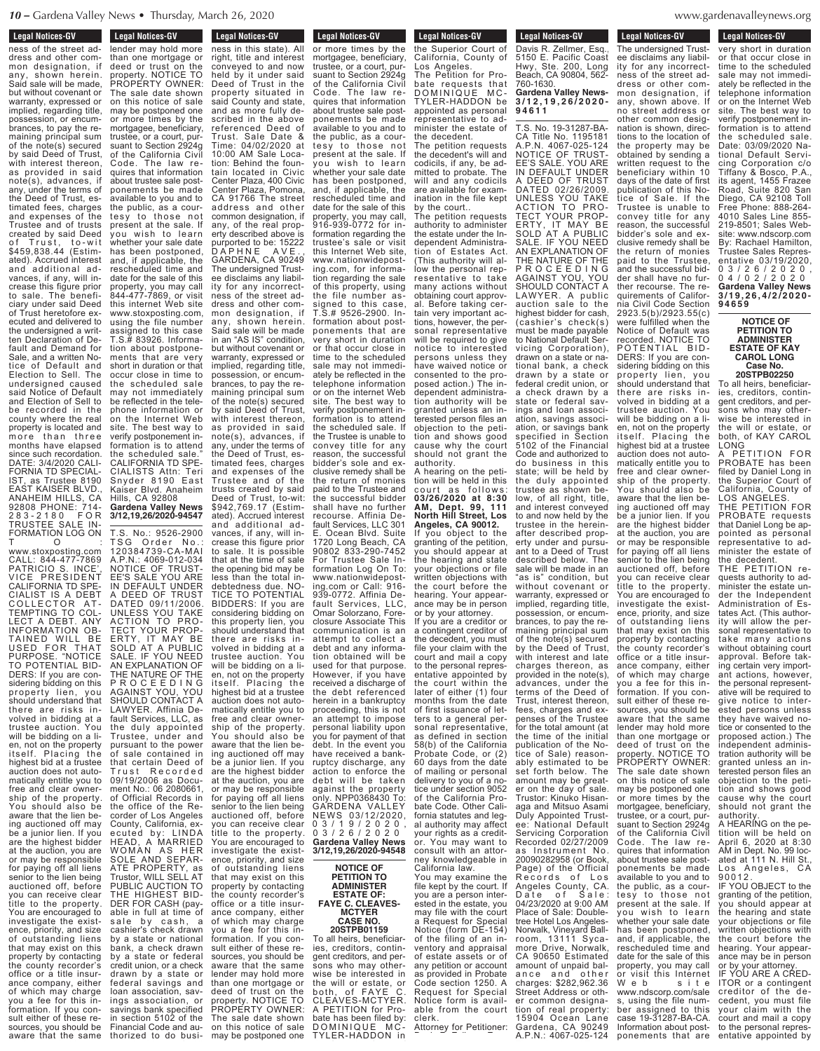**Legal Notices-GV** 

Legal Nutries-GV

### **Legal Notices-GV**

Legal Nutrices-GV ness of the street address and other common designation, if any, shown herein. Said sale will be made, but without covenant or warranty, expressed or implied, regarding title, possession, or encumbrances, to pay the remaining principal sum of the note(s) secured by said Deed of Trust, with interest thereon as provided in said note(s), advances, if any, under the terms of the Deed of Trust, estimated fees, charges and expenses of the Trustee and of trusts created by said Deed Trust, to-wit \$459,838.44 (Estimated). Accrued interest and additional advances, if any, will increase this figure prior to sale. The beneficiary under said Deed of Trust heretofore executed and delivered to the undersigned a written Declaration of Default and Demand for Sale, and a written Notice of Default and Election to Sell. The undersigned caused said Notice of Default and Election of Sell to be recorded in the county where the real property is located and more than three months have elapsed since such recordation. DATE: 3/4/2020 CALI-FORNIA TD SPECIAL-IST, as Trustee 8190 EAST KAISER BLVD., ANAHEIM HILLS, CA 92808 PHONE: 714- 2 8 3 - 2 1 8 0 F O R TRUSTEE SALE IN-FORMATION LOG ON

T O : www.stoxposting.com CALL: 844-477-7869 PATRICIO S. INCE<sup>'</sup> VICE PRESIDENT CALIFORNIA TD SPE-CIALIST IS A DEBT COLLECTOR AT-TEMPTING TO COL-LECT A DEBT. ANY **ORMATION OB-**<br>INFO WILL BE TAINED WILL USED FOR THAT **PURPOSE** TO POTENTIAL BID-DERS: If you are considering bidding on this property lien, you should understand that there are risks involved in bidding at a trustee auction. You will be bidding on a lien, not on the property itself. Placing the highest bid at a trustee auction does not automatically entitle you to free and clear ownership of the property. You should also be aware that the lien being auctioned off may be a junior lien. If you are the highest bidder at the auction, you are or may be responsible for paying off all liens senior to the lien being auctioned off, before you can receive clear title to the property. You are encouraged to investigate the existence, priority, and size of outstanding liens that may exist on this property by contacting the county recorder's office or a title insurance company, either of which may charge you a fee for this information. If you consult either of these resources, you should be aware that the same

lender may hold more than one mortgage or deed or trust on the property. NOTICE TO PROPERTY OWNER: The sale date shown on this notice of sale may be postponed one or more times by the mortgagee, beneficiary, trustee, or a court, pursuant to Section 2924g of the California Civil Code. The law requires that information about trustee sale postponements be made available to you and to the public, as a courtesy to those not present at the sale. If you wish to learn whether your sale date has been postponed, and, if applicable, the rescheduled time and date for the sale of this property, you may call 844-477-7869, or visit this internet Web site www.stoxposting.com, using the file number assigned to this case T.S.# 83926. Information about postponements that are very short in duration or that occur close in time to the scheduled sale may not immediately be reflected in the telephone information or on the Internet Web site. The best way to verify postponement information is to attend the scheduled sale." CALIFORNIA TD SPE-CIALISTS Attn: Teri Snyder 8190 East Kaiser Blvd. Anaheim Hills, CA 92808 **Gardena Valley News 3/12,19,26/2020-94547**

at the auction, you are or may be responsible for paying off all liens senior to the lien being auctioned off, before you can receive clear title to the property. You are encouraged to investigate the existence, priority, and size outstanding liens that may exist on this property by contacting the county recorder's office or a title insurance company, either of which may charge you a fee for this information. If you consult either of these resources, you should be aware that the same lender may hold more than one mortgage or deed of trust on the property. NOTICE TO PROPERTY OWNER: The sale date shown on this notice of sale may be postponed one T.S. No.: 9526-2900 TSG Order No.: 120384739-CA-MAI A.P.N.: 4069-012-034 NOTICE OF TRUST-EE'S SALE YOU ARE IN DEFAULT UNDER A DEED OF TRUST DATED 09/11/2006. UNLESS YOU TAKE ACTION TO PRO-TECT YOUR PROP-ERTY, IT MAY BE SOLD AT A PUBLIC SALE. IF YOU NEED AN EXPLANATION OF THE NATURE OF THE P R O C E E D I N G AGAINST YOU, YOU SHOULD CONTACT A LAWYER. Affinia Default Services, LLC, as the duly appointed Trustee, under and pursuant to the power of sale contained in that certain Deed of<br>Trust Recorded 09/19/2006 as Document No.: 06 2080661, of Official Records in the office of the Recorder of Los Angeles County, California, executed by: LINDA HEAD, A MARRIED WOMAN AS HER SOLE AND SEPAR-ATE PROPERTY, as Trustor, WILL SELL AT PUBLIC AUCTION TO THE HIGHEST BID-DER FOR CASH (payable in full at time of sale by cash, a cashier's check drawn by a state or national bank, a check drawn by a state or federal credit union, or a check drawn by a state or federal savings and loan association, savings association, or savings bank specified in section 5102 of the Financial Code and authorized to do busi-

**Financial Conducts** Legal Nutrices-GV ness in this state). All right, title and interest conveyed to and now held by it under said Deed of Trust in the property situated in said County and state, and as more fully described in the above referenced Deed of Trust. Sale Date & Time: 04/02/2020 at 10:00 AM Sale Location: Behind the fountain located in Civic Center Plaza, 400 Civic Center Plaza, Pomona, CA 91766 The street address and other common designation, if any, of the real property described above is purported to be: 15222 D A P H N E A V E ., GARDENA, CA 90249 The undersigned Trustee disclaims any liability for any incorrectness of the street address and other common designation, if any, shown herein. Said sale will be made in an "AS IS" condition, but without covenant or warranty, expressed or implied, regarding title, possession, or encumbrances, to pay the remaining principal sum of the note(s) secured by said Deed of Trust, with interest thereon, as provided in said note(s), advances, if any, under the terms of the Deed of Trust, estimated fees, charges and expenses of the Trustee and of the trusts created by said Deed of Trust, to-wit: \$942,769.17 (Estimated). Accrued interest and additional advances, if any, will increase this figure prior to sale. It is possible that at the time of sale the opening bid may be less than the total indebtedness due. NO-TICE TO POTENTIAL BIDDERS: If you are considering bidding on this property lien, you should understand that there are risks involved in bidding at a trustee auction. You will be bidding on a lien, not on the property itself. Placing the highest bid at a trustee auction does not automatically entitle you to free and clear ownership of the property. You should also be aware that the lien being auctioned off may be a junior lien. If you are the highest bidder

present at the sale. If you wish to learn whether your sale date has been postponed, and, if applicable, the rescheduled time and date for the sale of this property, you may call, 916-939-0772 for information regarding the trustee's sale or visit this Internet Web site, www.nationwideposting.com, for information regarding the sale of this property, using the file number assigned to this case, T.S.# 9526-2900. Information about postponements that are very short in duration or that occur close in time to the scheduled sale may not immediately be reflected in the telephone information or on the internet Web site. The best way to verify postponement information is to attend the scheduled sale. If the Trustee is unable to convey title for any reason, the successful bidder's sole and exclusive remedy shall be the return of monies paid to the Trustee and the successful bidder shall have no further recourse. Affinia Default Services, LLC 301 E. Ocean Blvd. Suite 1720 Long Beach, CA 90802 833-290-7452 For Trustee Sale Information Log On To: www.nationwideposting.com or Call: 916- 939-0772. Affinia Default Services, LLC, Omar Solorzano, Foreclosure Associate This communication is an attempt to collect a debt and any information obtained will be used for that purpose. However, if you have received a discharge of the debt referenced herein in a bankruptcy proceeding, this is not an attempt to impose personal liability upon you for payment of that debt. In the event you have received a bankruptcy discharge, any action to enforce the debt will be taken against the property only. NPP0368430 To: GARDENA VALLEY NEWS 03/12/2020, 0 3 / 1 9 / 2 0 2 0 , 0 3 / 2 6 / 2 0 2 0 **Gardena Valley News 3/12,19,26/2020-94548 NOTICE OF**

**Legal Notices-GV** Legal Nutles-GV or more times by the mortgagee, beneficiary, trustee, or a court, pursuant to Section 2924g of the California Civil Code. The law requires that information about trustee sale postponements be made available to you and to the public, as a courtesy to those not

### **PETITION TO ADMINISTER ESTATE OF: FAYE C. CLEAVES-MCTYER CASE NO.**

## **20STPB01159**

To all heirs, beneficiaries, creditors, contingent creditors, and persons who may otherwise be interested in the will or estate, or both, of FAYE C. CLEAVES-MCTYER. A PETITION for Probate has been filed by: DOMINIQUE MC-TYLER-HADDON in

**Legal Notices-GV** Leyal Nutles-GV the Superior Court of California, County of Los Angeles. The Petition for Probate requests that DOMINIQUE MC-TYLER-HADDON be

T.S. No. 19-31287-BAappointed as personal representative to administer the estate of the decedent. The petition requests the decedent's will and codicils, if any, be admitted to probate. The will and any codicils are available for examination in the file kept

by the court.. The petition requests authority to administer the estate under the Independent Administration of Estates Act. (This authority will allow the personal representative to take many actions without obtaining court approval. Before taking certain very important actions, however, the personal representative will be required to give notice to interested persons unless they have waived notice or consented to the proposed action.) The independent administration authority will be granted unless an interested person files an objection to the petition and shows good cause why the court should not grant the

authority. A hearing on the petition will be held in this court as follows: **03/26/2020 at 8:30 AM, Dept. 99, 111 North Hill Street, Los Angeles, CA 90012.** If you object to the granting of the petition, you should appear at the hearing and state your objections or file written objections with the court before the hearing. Your appearance may be in person or by your attorney.

If you are a creditor or a contingent creditor of the decedent, you must file your claim with the court and mail a copy to the personal representative appointed by the court within the later of either (1) four months from the date of first issuance of letters to a general personal representative, as defined in section 58(b) of the California Probate Code, or (2) 60 days from the date of mailing or personal delivery to you of a notice under section 9052 of the California Probate Code. Other California statutes and legal authority may affect your rights as a creditor. You may want to consult with an attorney knowledgeable in

California law. You may examine the file kept by the court. If you are a person interested in the estate, you may file with the court a Request for Special Notice (form DE-154) of the filing of an inventory and appraisal of estate assets or of any petition or account as provided in Probate Code section 1250. A Request for Special Notice form is available from the court clerk. Attorney for Petitioner:

Davis R. Zellmer, Esq.,

Beach, CA 90804, 562- 760-1630. **Gardena Valley News-3 / 1 2 , 1 9 , 2 6 / 2 0 2 0 - 9 4 6 1 1**

tions to the location of the property may be obtained by sending a written request to the beneficiary within 10 days of the date of first publication of this Notice of Sale. If the Trustee is unable to convey title for any reason, the successful bidder's sole and exclusive remedy shall be the return of monies paid to the Trustee, and the successful bidder shall have no further recourse. The requirements of California Civil Code Section 2923.5(b)/2923.55(c) were fulfilled when the Notice of Default was recorded. NOTICE TO POTENTIAL BID-DERS: If you are considering bidding on this property lien, you should understand that there are risks inavailable to you and to the public, as a courtesy to those not present at the sale. If vou wish to learn whether your sale date has been postponed, and, if applicable, the rescheduled time and date for the sale of this property, you may call or visit this Internet W e b s i t e www.ndscorp.com/sale s, using the file number assigned to this case 19-31287-BA-CA. Information about post-<br>ponements that are CA Title No. 1195181 A.P.N. 4067-025-124 NOTICE OF TRUST-EE'S SALE. YOU ARE IN DEFAULT UNDER A DEED OF TRUST DATED 02/26/2009. UNLESS YOU TAKE ACTION TO PRO-TECT YOUR PROP-ERTY, IT MAY BE SOLD AT A PUBLIC SALE. IF YOU NEED AN EXPLANATION OF THE NATURE OF THE P R O C E E D I N G AGAINST YOU, YOU SHOULD CONTACT A LAWYER. A public auction sale to the highest bidder for cash (cashier's check(s) must be made payable to National Default Servicing Corporation), drawn on a state or national bank, a check drawn by a state or federal credit union, or a check drawn by a state or federal savings and loan association, savings association, or savings bank specified in Section 5102 of the Financial Code and authorized to do business in this state; will be held by the duly appointed trustee as shown below, of all right, title, and interest conveyed to and now held by the trustee in the hereinafter described property under and pursuant to a Deed of Trust described below. The sale will be made in an "as is" condition, but without covenant or warranty, expressed or implied, regarding title, possession, or encumbrances, to pay the remaining principal sum of the note(s) secured by the Deed of Trust, with interest and late charges thereon, as provided in the note(s), advances, under the terms of the Deed of Trust, interest thereon, fees, charges and expenses of the Trustee for the total amount (at the time of the initial publication of the Notice of Sale) reasonably estimated to be set forth below. The amount may be greater on the day of sale. Trustor: Kinuko Hisanaga and Mitsuo Asami Duly Appointed Trustee: National Default Servicing Corporation Recorded 02/27/2009 as Instrument No. 20090282958 (or Book, Page) of the Official Records of Los Angeles County, CA. Date of Sale: 04/23/2020 at 9:00 AM Place of Sale: Doubletree Hotel Los Angeles-Norwalk, Vineyard Ballroom, 13111 Sycamore Drive, Norwalk, CA 90650 Estimated amount of unpaid bal-<br>ance and other ance and other charges: \$282,962.36 Street Address or other common designation of real property: 15904 Ocean Lane Gardena, CA 90249 A.P.N.: 4067-025-124

denavalleynews.org  $\frac{1}{2}$ tion of the real property.  $\sigma$  $\ldots$  $\ldots$ <sub> $\sigma$ </sub>

**Legal Notices-GV** 

**Legal Nutiles-dv** The undersigned Trust**Legal Notices-GV** 

**Legal Nutries avec** 

very short in duration or that occur close in time to the scheduled sale may not immediately be reflected in the telephone information or on the Internet Web site. The best way to verify postponement information is to attend the scheduled sale. Date: 03/09/2020 National Default Servicing Corporation c/o Tiffany & Bosco, P.A., its agent, 1455 Frazee Road, Suite 820 San Diego, CA 92108 Toll Free Phone: 888-264- 4010 Sales Line 855- 219-8501; Sales Website: www.ndscorp.com By: Rachael Hamilton, Trustee Sales Representative 03/19/2020, 0 3 / 2 6 / 2 0 2 0 , 0 4 / 0 2 / 2 0 2 0 **Gardena Valley News 3 / 1 9 , 2 6 , 4 / 2 / 2 0 2 0 - 9 4 6 5 9** ee disclaims any liability for any incorrectness of the street address or other common designation, if any, shown above. If no street address or other common designation is shown, direc-

**NOTICE OF PETITION TO ADMINISTER ESTATE OF KAY CAROL LONG Case No.**

**20STPB02250** To all heirs, beneficiar-

ies, creditors, contingent creditors, and persons who may otherwise be interested in the will or estate, or both, of KAY CAROL

A PETITION FOR PROBATE has been filed by Daniel Long in the Superior Court of California, County of LOS ANGELES.

THE PETITION FOR PROBATE requests that Daniel Long be appointed as personal representative to administer the estate of

quests authority to administer the estate under the Independent Administration of Estates Act. (This authority will allow the personal representative to take many actions without obtaining court approval. Before taking certain very important actions, however, the personal representative will be required to give notice to interested persons unless they have waived notice or consented to the proposed action.) The independent administration authority will be granted unless an in-terested person files an objection to the petition and shows good cause why the court should not grant the

A HEARING on the petition will be held on April 6, 2020 at 8:30 AM in Dept. No. 99 located at 111 N. Hill St., Los Angeles, CA

IF YOU OBJECT to the granting of the petition, you should appear at the hearing and state your objections or file written objections with the court before the hearing. Your appearance may be in person

or by your attorney. IF YOU ARE A CRED-ITOR or a contingent creditor of the decedent, you must file your claim with the court and mail a copy to the personal representative appointed by

LONG the decedent THE PETITION reauthority. volved in bidding at a trustee auction. You will be bidding on a lien, not on the property itself. Placing the highest bid at a trustee auction does not automatically entitle you to free and clear ownership of the property. You should also be aware that the lien being auctioned off may be a junior lien. If you are the highest bidder at the auction, you are or may be responsible for paying off all liens senior to the lien being auctioned off, before you can receive clear title to the property. You are encouraged to investigate the existence, priority, and size of outstanding liens that may exist on this property by contacting the county recorder's office or a title insurance company, either of which may charge you a fee for this information. If you consult either of these resources, you should be aware that the same lender may hold more than one mortgage or deed of trust on the property. NOTICE TO PROPERTY OWNER: The sale date shown on this notice of sale may be postponed one or more times by the mortgagee, beneficiary, trustee, or a court, pursuant to Section 2924g of the California Civil Code. The law requires that information about trustee sale postponements be made

9 0 0 1 2 .